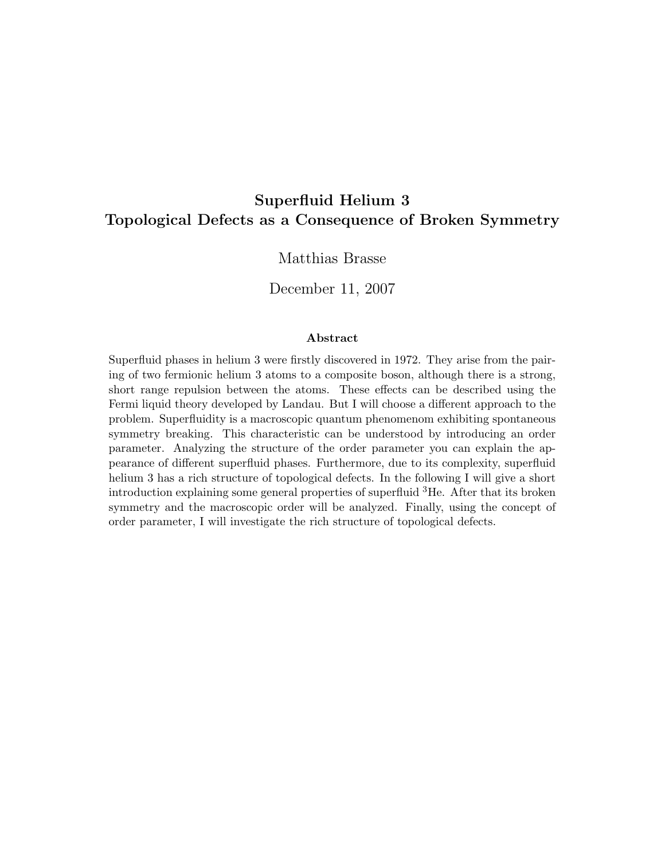## Superfluid Helium 3 Topological Defects as a Consequence of Broken Symmetry

#### Matthias Brasse

December 11, 2007

#### Abstract

Superfluid phases in helium 3 were firstly discovered in 1972. They arise from the pairing of two fermionic helium 3 atoms to a composite boson, although there is a strong, short range repulsion between the atoms. These effects can be described using the Fermi liquid theory developed by Landau. But I will choose a different approach to the problem. Superfluidity is a macroscopic quantum phenomenom exhibiting spontaneous symmetry breaking. This characteristic can be understood by introducing an order parameter. Analyzing the structure of the order parameter you can explain the appearance of different superfluid phases. Furthermore, due to its complexity, superfluid helium 3 has a rich structure of topological defects. In the following I will give a short introduction explaining some general properties of superfluid  ${}^{3}$ He. After that its broken symmetry and the macroscopic order will be analyzed. Finally, using the concept of order parameter, I will investigate the rich structure of topological defects.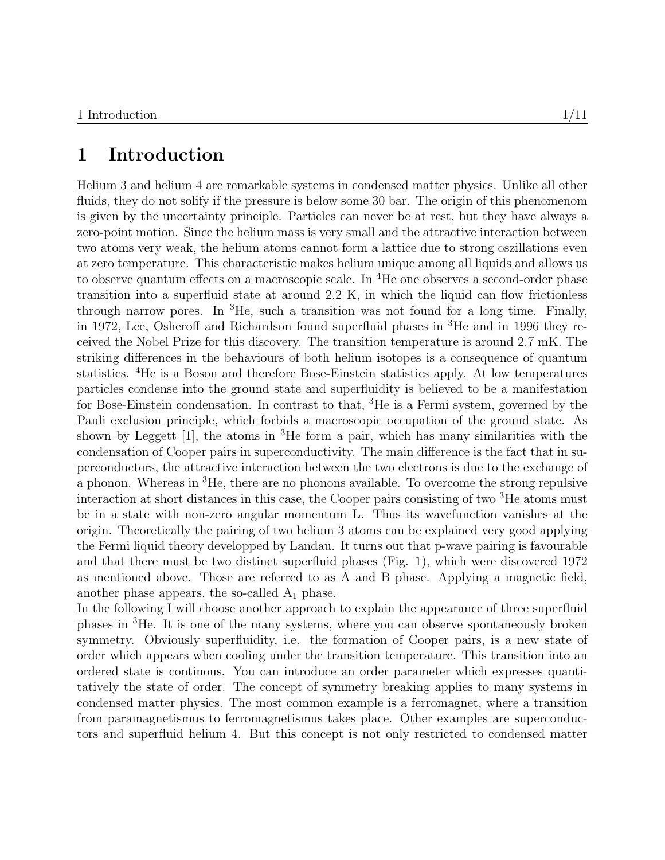#### 1 Introduction

Helium 3 and helium 4 are remarkable systems in condensed matter physics. Unlike all other fluids, they do not solify if the pressure is below some 30 bar. The origin of this phenomenom is given by the uncertainty principle. Particles can never be at rest, but they have always a zero-point motion. Since the helium mass is very small and the attractive interaction between two atoms very weak, the helium atoms cannot form a lattice due to strong oszillations even at zero temperature. This characteristic makes helium unique among all liquids and allows us to observe quantum effects on a macroscopic scale. In  ${}^{4}$ He one observes a second-order phase transition into a superfluid state at around 2.2 K, in which the liquid can flow frictionless through narrow pores. In  ${}^{3}$ He, such a transition was not found for a long time. Finally, in 1972, Lee, Osheroff and Richardson found superfluid phases in <sup>3</sup>He and in 1996 they received the Nobel Prize for this discovery. The transition temperature is around 2.7 mK. The striking differences in the behaviours of both helium isotopes is a consequence of quantum statistics. <sup>4</sup>He is a Boson and therefore Bose-Einstein statistics apply. At low temperatures particles condense into the ground state and superfluidity is believed to be a manifestation for Bose-Einstein condensation. In contrast to that, <sup>3</sup>He is a Fermi system, governed by the Pauli exclusion principle, which forbids a macroscopic occupation of the ground state. As shown by Leggett  $[1]$ , the atoms in <sup>3</sup>He form a pair, which has many similarities with the condensation of Cooper pairs in superconductivity. The main difference is the fact that in superconductors, the attractive interaction between the two electrons is due to the exchange of a phonon. Whereas in <sup>3</sup>He, there are no phonons available. To overcome the strong repulsive interaction at short distances in this case, the Cooper pairs consisting of two <sup>3</sup>He atoms must be in a state with non-zero angular momentum L. Thus its wavefunction vanishes at the origin. Theoretically the pairing of two helium 3 atoms can be explained very good applying the Fermi liquid theory developped by Landau. It turns out that p-wave pairing is favourable and that there must be two distinct superfluid phases (Fig. 1), which were discovered 1972 as mentioned above. Those are referred to as A and B phase. Applying a magnetic field, another phase appears, the so-called  $A_1$  phase.

In the following I will choose another approach to explain the appearance of three superfluid phases in <sup>3</sup>He. It is one of the many systems, where you can observe spontaneously broken symmetry. Obviously superfluidity, i.e. the formation of Cooper pairs, is a new state of order which appears when cooling under the transition temperature. This transition into an ordered state is continous. You can introduce an order parameter which expresses quantitatively the state of order. The concept of symmetry breaking applies to many systems in condensed matter physics. The most common example is a ferromagnet, where a transition from paramagnetismus to ferromagnetismus takes place. Other examples are superconductors and superfluid helium 4. But this concept is not only restricted to condensed matter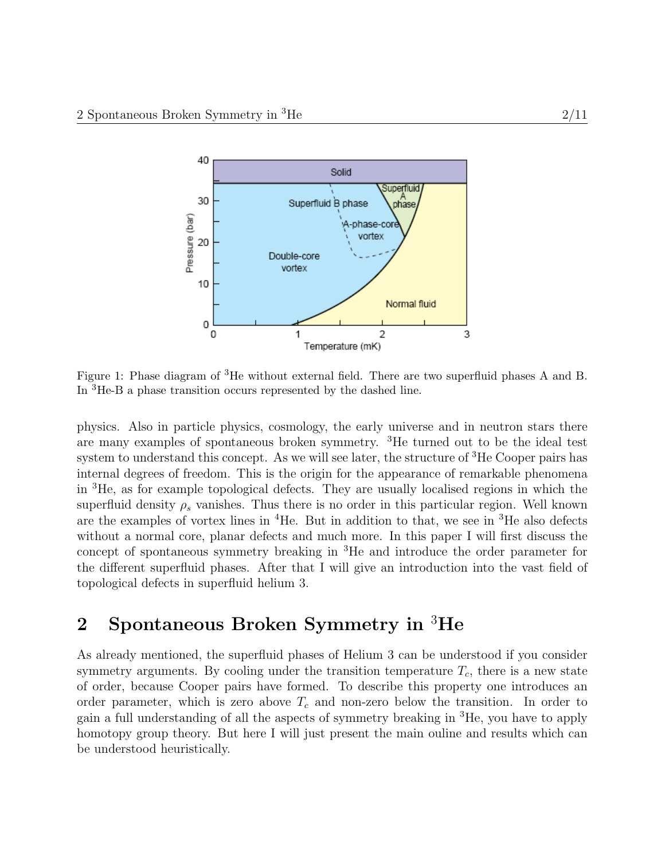

Figure 1: Phase diagram of <sup>3</sup>He without external field. There are two superfluid phases A and B. In <sup>3</sup>He-B a phase transition occurs represented by the dashed line.

physics. Also in particle physics, cosmology, the early universe and in neutron stars there are many examples of spontaneous broken symmetry. <sup>3</sup>He turned out to be the ideal test system to understand this concept. As we will see later, the structure of <sup>3</sup>He Cooper pairs has internal degrees of freedom. This is the origin for the appearance of remarkable phenomena in <sup>3</sup>He, as for example topological defects. They are usually localised regions in which the superfluid density  $\rho_s$  vanishes. Thus there is no order in this particular region. Well known are the examples of vortex lines in  ${}^{4}$ He. But in addition to that, we see in  ${}^{3}$ He also defects without a normal core, planar defects and much more. In this paper I will first discuss the concept of spontaneous symmetry breaking in <sup>3</sup>He and introduce the order parameter for the different superfluid phases. After that I will give an introduction into the vast field of topological defects in superfluid helium 3.

# 2 Spontaneous Broken Symmetry in <sup>3</sup>He

As already mentioned, the superfluid phases of Helium 3 can be understood if you consider symmetry arguments. By cooling under the transition temperature  $T_c$ , there is a new state of order, because Cooper pairs have formed. To describe this property one introduces an order parameter, which is zero above  $T_c$  and non-zero below the transition. In order to gain a full understanding of all the aspects of symmetry breaking in <sup>3</sup>He, you have to apply homotopy group theory. But here I will just present the main ouline and results which can be understood heuristically.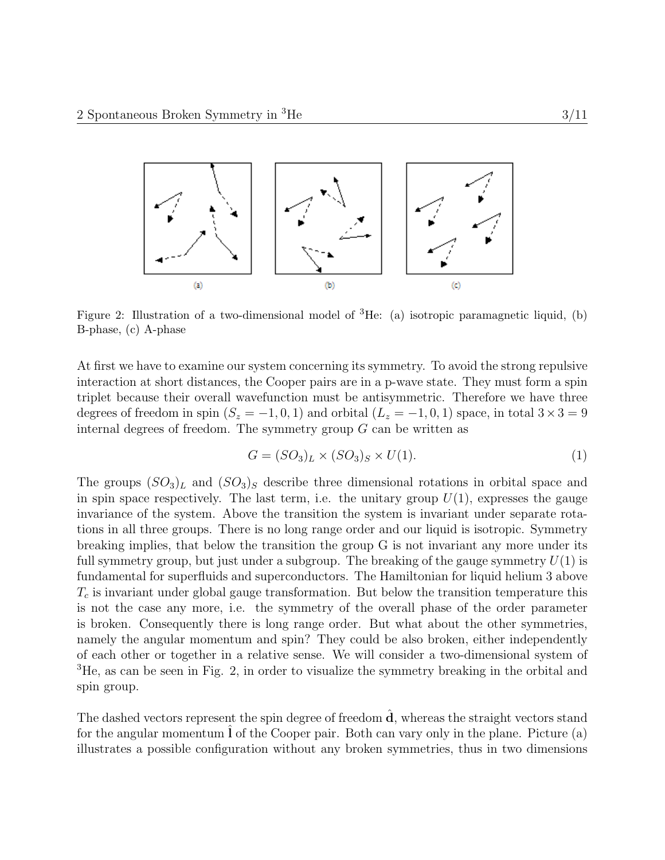

Figure 2: Illustration of a two-dimensional model of  ${}^{3}$ He: (a) isotropic paramagnetic liquid, (b) B-phase, (c) A-phase

At first we have to examine our system concerning its symmetry. To avoid the strong repulsive interaction at short distances, the Cooper pairs are in a p-wave state. They must form a spin triplet because their overall wavefunction must be antisymmetric. Therefore we have three degrees of freedom in spin  $(S_z = -1, 0, 1)$  and orbital  $(L_z = -1, 0, 1)$  space, in total  $3 \times 3 = 9$ internal degrees of freedom. The symmetry group  $G$  can be written as

$$
G = (SO3)L \times (SO3)S \times U(1).
$$
 (1)

The groups  $(SO_3)_L$  and  $(SO_3)_S$  describe three dimensional rotations in orbital space and in spin space respectively. The last term, i.e. the unitary group  $U(1)$ , expresses the gauge invariance of the system. Above the transition the system is invariant under separate rotations in all three groups. There is no long range order and our liquid is isotropic. Symmetry breaking implies, that below the transition the group G is not invariant any more under its full symmetry group, but just under a subgroup. The breaking of the gauge symmetry  $U(1)$  is fundamental for superfluids and superconductors. The Hamiltonian for liquid helium 3 above  $T_c$  is invariant under global gauge transformation. But below the transition temperature this is not the case any more, i.e. the symmetry of the overall phase of the order parameter is broken. Consequently there is long range order. But what about the other symmetries, namely the angular momentum and spin? They could be also broken, either independently of each other or together in a relative sense. We will consider a two-dimensional system of <sup>3</sup>He, as can be seen in Fig. 2, in order to visualize the symmetry breaking in the orbital and spin group.

The dashed vectors represent the spin degree of freedom  $\hat{d}$ , whereas the straight vectors stand for the angular momentum  $l$  of the Cooper pair. Both can vary only in the plane. Picture (a) illustrates a possible configuration without any broken symmetries, thus in two dimensions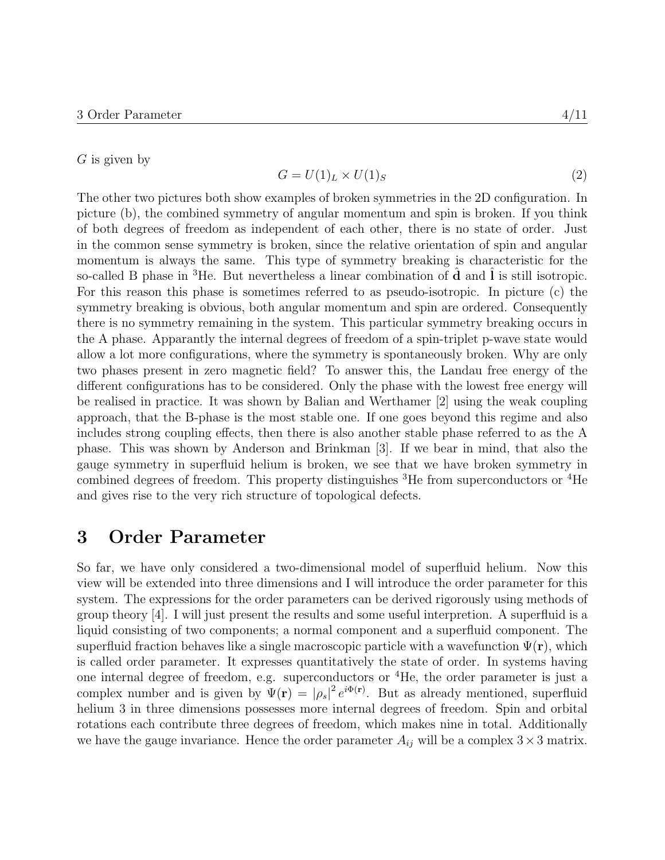$G$  is given by

$$
G = U(1)_L \times U(1)_S \tag{2}
$$

The other two pictures both show examples of broken symmetries in the 2D configuration. In picture (b), the combined symmetry of angular momentum and spin is broken. If you think of both degrees of freedom as independent of each other, there is no state of order. Just in the common sense symmetry is broken, since the relative orientation of spin and angular momentum is always the same. This type of symmetry breaking is characteristic for the so-called B phase in  ${}^{3}$ He. But nevertheless a linear combination of **d** and **l** is still isotropic. For this reason this phase is sometimes referred to as pseudo-isotropic. In picture (c) the symmetry breaking is obvious, both angular momentum and spin are ordered. Consequently there is no symmetry remaining in the system. This particular symmetry breaking occurs in the A phase. Apparantly the internal degrees of freedom of a spin-triplet p-wave state would allow a lot more configurations, where the symmetry is spontaneously broken. Why are only two phases present in zero magnetic field? To answer this, the Landau free energy of the different configurations has to be considered. Only the phase with the lowest free energy will be realised in practice. It was shown by Balian and Werthamer [2] using the weak coupling approach, that the B-phase is the most stable one. If one goes beyond this regime and also includes strong coupling effects, then there is also another stable phase referred to as the A phase. This was shown by Anderson and Brinkman [3]. If we bear in mind, that also the gauge symmetry in superfluid helium is broken, we see that we have broken symmetry in combined degrees of freedom. This property distinguishes  ${}^{3}$ He from superconductors or  ${}^{4}$ He and gives rise to the very rich structure of topological defects.

#### 3 Order Parameter

So far, we have only considered a two-dimensional model of superfluid helium. Now this view will be extended into three dimensions and I will introduce the order parameter for this system. The expressions for the order parameters can be derived rigorously using methods of group theory [4]. I will just present the results and some useful interpretion. A superfluid is a liquid consisting of two components; a normal component and a superfluid component. The superfluid fraction behaves like a single macroscopic particle with a wavefunction  $\Psi(\mathbf{r})$ , which is called order parameter. It expresses quantitatively the state of order. In systems having one internal degree of freedom, e.g. superconductors or  ${}^{4}$ He, the order parameter is just a complex number and is given by  $\Psi(\mathbf{r}) = |\rho_s|^2 e^{i\Phi(\mathbf{r})}$ . But as already mentioned, superfluid helium 3 in three dimensions possesses more internal degrees of freedom. Spin and orbital rotations each contribute three degrees of freedom, which makes nine in total. Additionally we have the gauge invariance. Hence the order parameter  $A_{ij}$  will be a complex  $3 \times 3$  matrix.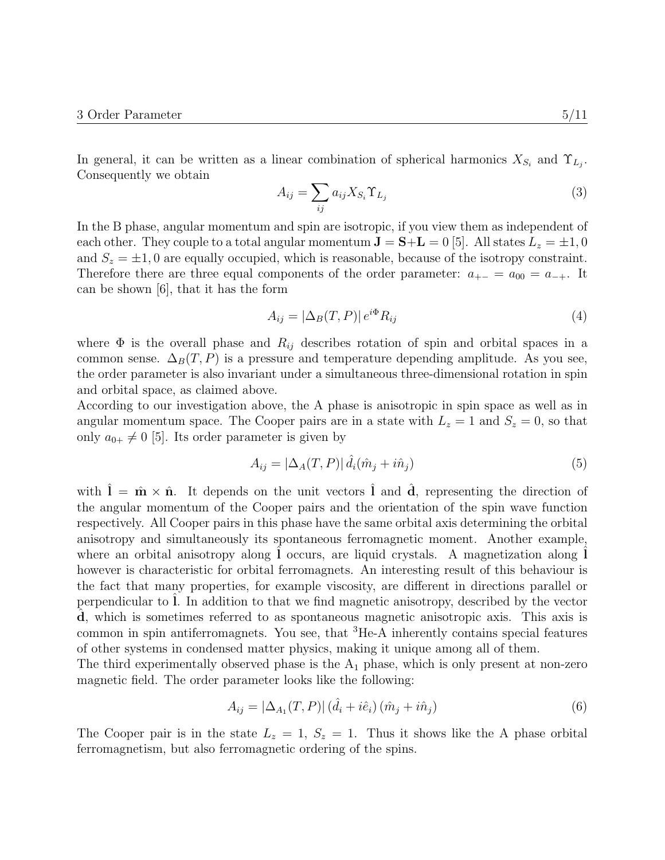In general, it can be written as a linear combination of spherical harmonics  $X_{S_i}$  and  $\Upsilon_{L_j}$ . Consequently we obtain

$$
A_{ij} = \sum_{ij} a_{ij} X_{S_i} \Upsilon_{L_j} \tag{3}
$$

In the B phase, angular momentum and spin are isotropic, if you view them as independent of each other. They couple to a total angular momentum  $\mathbf{J} = \mathbf{S} + \mathbf{L} = 0$  [5]. All states  $L_z = \pm 1, 0$ and  $S_z = \pm 1, 0$  are equally occupied, which is reasonable, because of the isotropy constraint. Therefore there are three equal components of the order parameter:  $a_{+-} = a_{00} = a_{-+}$ . It can be shown [6], that it has the form

$$
A_{ij} = |\Delta_B(T, P)| e^{i\Phi} R_{ij}
$$
\n<sup>(4)</sup>

where  $\Phi$  is the overall phase and  $R_{ij}$  describes rotation of spin and orbital spaces in a common sense.  $\Delta_B(T, P)$  is a pressure and temperature depending amplitude. As you see, the order parameter is also invariant under a simultaneous three-dimensional rotation in spin and orbital space, as claimed above.

According to our investigation above, the A phase is anisotropic in spin space as well as in angular momentum space. The Cooper pairs are in a state with  $L_z = 1$  and  $S_z = 0$ , so that only  $a_{0+} \neq 0$  [5]. Its order parameter is given by

$$
A_{ij} = \left| \Delta_A(T, P) \right| \hat{d}_i(\hat{m}_j + i\hat{n}_j) \tag{5}
$$

with  $\hat{\mathbf{l}} = \hat{\mathbf{m}} \times \hat{\mathbf{n}}$ . It depends on the unit vectors  $\hat{\mathbf{l}}$  and  $\hat{\mathbf{d}}$ , representing the direction of the angular momentum of the Cooper pairs and the orientation of the spin wave function respectively. All Cooper pairs in this phase have the same orbital axis determining the orbital anisotropy and simultaneously its spontaneous ferromagnetic moment. Another example, where an orbital anisotropy along  $\tilde{I}$  occurs, are liquid crystals. A magnetization along  $\tilde{I}$ however is characteristic for orbital ferromagnets. An interesting result of this behaviour is the fact that many properties, for example viscosity, are different in directions parallel or perpendicular to l. In addition to that we find magnetic anisotropy, described by the vector d, which is sometimes referred to as spontaneous magnetic anisotropic axis. This axis is common in spin antiferromagnets. You see, that  ${}^{3}$ He-A inherently contains special features of other systems in condensed matter physics, making it unique among all of them.

The third experimentally observed phase is the  $A_1$  phase, which is only present at non-zero magnetic field. The order parameter looks like the following:

$$
A_{ij} = |\Delta_{A_1}(T, P)| (\hat{d}_i + i\hat{e}_i) (\hat{m}_j + i\hat{n}_j)
$$
\n(6)

The Cooper pair is in the state  $L_z = 1$ ,  $S_z = 1$ . Thus it shows like the A phase orbital ferromagnetism, but also ferromagnetic ordering of the spins.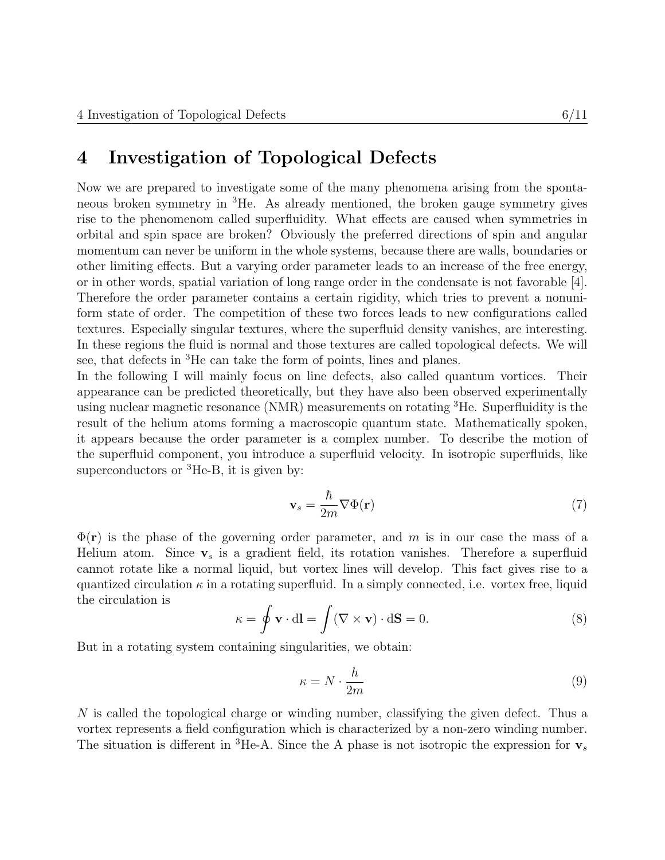## 4 Investigation of Topological Defects

Now we are prepared to investigate some of the many phenomena arising from the spontaneous broken symmetry in <sup>3</sup>He. As already mentioned, the broken gauge symmetry gives rise to the phenomenom called superfluidity. What effects are caused when symmetries in orbital and spin space are broken? Obviously the preferred directions of spin and angular momentum can never be uniform in the whole systems, because there are walls, boundaries or other limiting effects. But a varying order parameter leads to an increase of the free energy, or in other words, spatial variation of long range order in the condensate is not favorable [4]. Therefore the order parameter contains a certain rigidity, which tries to prevent a nonuniform state of order. The competition of these two forces leads to new configurations called textures. Especially singular textures, where the superfluid density vanishes, are interesting. In these regions the fluid is normal and those textures are called topological defects. We will see, that defects in <sup>3</sup>He can take the form of points, lines and planes.

In the following I will mainly focus on line defects, also called quantum vortices. Their appearance can be predicted theoretically, but they have also been observed experimentally using nuclear magnetic resonance  $(NMR)$  measurements on rotating <sup>3</sup>He. Superfluidity is the result of the helium atoms forming a macroscopic quantum state. Mathematically spoken, it appears because the order parameter is a complex number. To describe the motion of the superfluid component, you introduce a superfluid velocity. In isotropic superfluids, like superconductors or  ${}^{3}$ He-B, it is given by:

$$
\mathbf{v}_s = \frac{\hbar}{2m} \nabla \Phi(\mathbf{r}) \tag{7}
$$

 $\Phi(\mathbf{r})$  is the phase of the governing order parameter, and m is in our case the mass of a Helium atom. Since  $v_s$  is a gradient field, its rotation vanishes. Therefore a superfluid cannot rotate like a normal liquid, but vortex lines will develop. This fact gives rise to a quantized circulation  $\kappa$  in a rotating superfluid. In a simply connected, i.e. vortex free, liquid the circulation is

$$
\kappa = \oint \mathbf{v} \cdot d\mathbf{l} = \int (\nabla \times \mathbf{v}) \cdot d\mathbf{S} = 0.
$$
 (8)

But in a rotating system containing singularities, we obtain:

$$
\kappa = N \cdot \frac{h}{2m} \tag{9}
$$

N is called the topological charge or winding number, classifying the given defect. Thus a vortex represents a field configuration which is characterized by a non-zero winding number. The situation is different in <sup>3</sup>He-A. Since the A phase is not isotropic the expression for  $v<sub>s</sub>$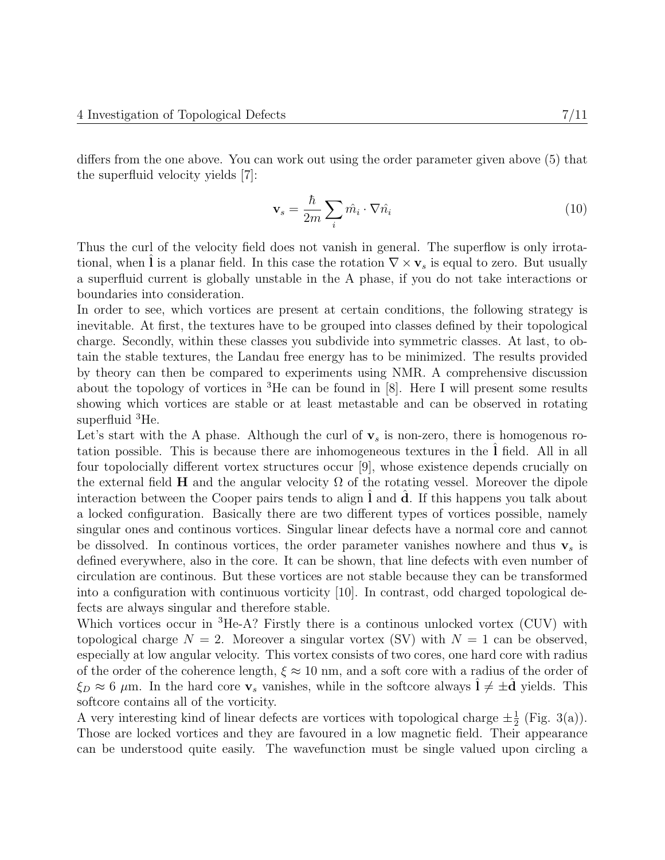differs from the one above. You can work out using the order parameter given above (5) that the superfluid velocity yields [7]:

$$
\mathbf{v}_s = \frac{\hbar}{2m} \sum_i \hat{m}_i \cdot \nabla \hat{n}_i \tag{10}
$$

Thus the curl of the velocity field does not vanish in general. The superflow is only irrotational, when I is a planar field. In this case the rotation  $\nabla \times \mathbf{v}_s$  is equal to zero. But usually a superfluid current is globally unstable in the A phase, if you do not take interactions or boundaries into consideration.

In order to see, which vortices are present at certain conditions, the following strategy is inevitable. At first, the textures have to be grouped into classes defined by their topological charge. Secondly, within these classes you subdivide into symmetric classes. At last, to obtain the stable textures, the Landau free energy has to be minimized. The results provided by theory can then be compared to experiments using NMR. A comprehensive discussion about the topology of vortices in  ${}^{3}$ He can be found in [8]. Here I will present some results showing which vortices are stable or at least metastable and can be observed in rotating superfluid <sup>3</sup>He.

Let's start with the A phase. Although the curl of  $\mathbf{v}_s$  is non-zero, there is homogenous rotation possible. This is because there are inhomogeneous textures in the l field. All in all four topolocially different vortex structures occur [9], whose existence depends crucially on the external field H and the angular velocity  $\Omega$  of the rotating vessel. Moreover the dipole interaction between the Cooper pairs tends to align  $l$  and  $d$ . If this happens you talk about a locked configuration. Basically there are two different types of vortices possible, namely singular ones and continous vortices. Singular linear defects have a normal core and cannot be dissolved. In continuous vortices, the order parameter vanishes nowhere and thus  $v_s$  is defined everywhere, also in the core. It can be shown, that line defects with even number of circulation are continous. But these vortices are not stable because they can be transformed into a configuration with continuous vorticity [10]. In contrast, odd charged topological defects are always singular and therefore stable.

Which vortices occur in <sup>3</sup>He-A? Firstly there is a continous unlocked vortex (CUV) with topological charge  $N = 2$ . Moreover a singular vortex (SV) with  $N = 1$  can be observed, especially at low angular velocity. This vortex consists of two cores, one hard core with radius of the order of the coherence length,  $\xi \approx 10$  nm, and a soft core with a radius of the order of  $\xi_D \approx 6 \mu$ m. In the hard core  $v_s$  vanishes, while in the softcore always  $l \neq \pm d$  yields. This softcore contains all of the vorticity.

A very interesting kind of linear defects are vortices with topological charge  $\pm \frac{1}{2}$  $\frac{1}{2}$  (Fig. 3(a)). Those are locked vortices and they are favoured in a low magnetic field. Their appearance can be understood quite easily. The wavefunction must be single valued upon circling a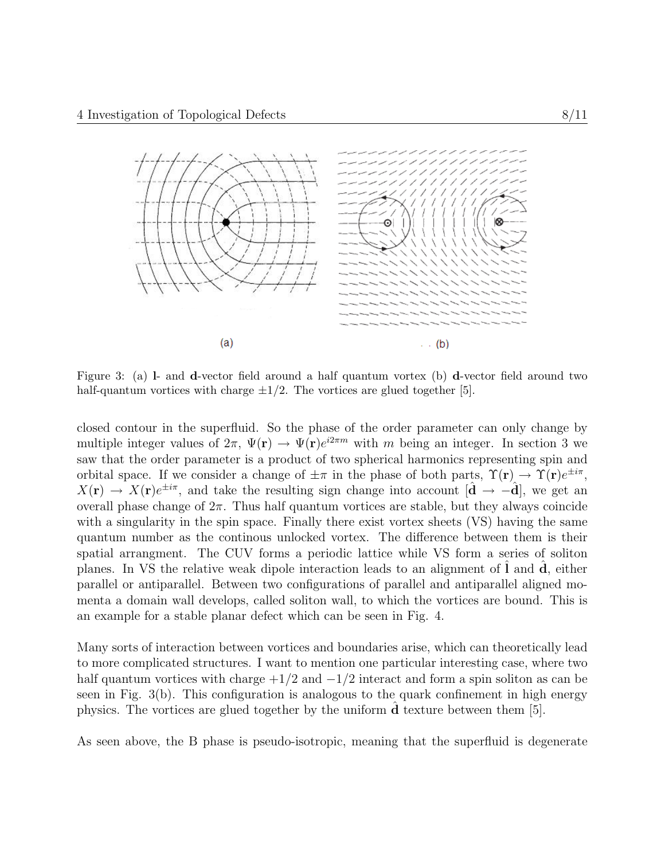

Figure 3: (a) l- and d-vector field around a half quantum vortex (b) d-vector field around two half-quantum vortices with charge  $\pm 1/2$ . The vortices are glued together [5].

closed contour in the superfluid. So the phase of the order parameter can only change by multiple integer values of  $2\pi$ ,  $\Psi(\mathbf{r}) \to \Psi(\mathbf{r})e^{i2\pi m}$  with m being an integer. In section 3 we saw that the order parameter is a product of two spherical harmonics representing spin and orbital space. If we consider a change of  $\pm \pi$  in the phase of both parts,  $\Upsilon(\mathbf{r}) \to \Upsilon(\mathbf{r})e^{\pm i\pi}$ ,  $X(\mathbf{r}) \to X(\mathbf{r})e^{\pm i\pi}$ , and take the resulting sign change into account  $[\hat{\mathbf{d}} \to -\hat{\mathbf{d}}]$ , we get an overall phase change of  $2\pi$ . Thus half quantum vortices are stable, but they always coincide with a singularity in the spin space. Finally there exist vortex sheets (VS) having the same quantum number as the continous unlocked vortex. The difference between them is their spatial arrangment. The CUV forms a periodic lattice while VS form a series of soliton planes. In VS the relative weak dipole interaction leads to an alignment of  $\bf{l}$  and  $\bf{d}$ , either parallel or antiparallel. Between two configurations of parallel and antiparallel aligned momenta a domain wall develops, called soliton wall, to which the vortices are bound. This is an example for a stable planar defect which can be seen in Fig. 4.

Many sorts of interaction between vortices and boundaries arise, which can theoretically lead to more complicated structures. I want to mention one particular interesting case, where two half quantum vortices with charge  $+1/2$  and  $-1/2$  interact and form a spin soliton as can be seen in Fig. 3(b). This configuration is analogous to the quark confinement in high energy physics. The vortices are glued together by the uniform dˆ texture between them [5].

As seen above, the B phase is pseudo-isotropic, meaning that the superfluid is degenerate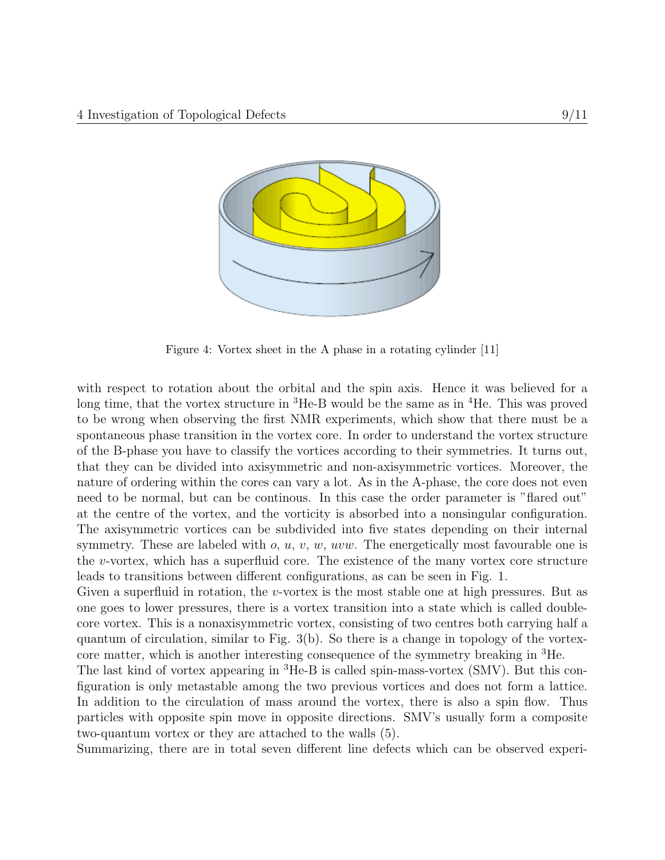

Figure 4: Vortex sheet in the A phase in a rotating cylinder [11]

with respect to rotation about the orbital and the spin axis. Hence it was believed for a long time, that the vortex structure in  ${}^{3}$ He-B would be the same as in  ${}^{4}$ He. This was proved to be wrong when observing the first NMR experiments, which show that there must be a spontaneous phase transition in the vortex core. In order to understand the vortex structure of the B-phase you have to classify the vortices according to their symmetries. It turns out, that they can be divided into axisymmetric and non-axisymmetric vortices. Moreover, the nature of ordering within the cores can vary a lot. As in the A-phase, the core does not even need to be normal, but can be continous. In this case the order parameter is "flared out" at the centre of the vortex, and the vorticity is absorbed into a nonsingular configuration. The axisymmetric vortices can be subdivided into five states depending on their internal symmetry. These are labeled with  $o, u, v, w, uvw$ . The energetically most favourable one is the v-vortex, which has a superfluid core. The existence of the many vortex core structure leads to transitions between different configurations, as can be seen in Fig. 1.

Given a superfluid in rotation, the v-vortex is the most stable one at high pressures. But as one goes to lower pressures, there is a vortex transition into a state which is called doublecore vortex. This is a nonaxisymmetric vortex, consisting of two centres both carrying half a quantum of circulation, similar to Fig. 3(b). So there is a change in topology of the vortexcore matter, which is another interesting consequence of the symmetry breaking in <sup>3</sup>He.

The last kind of vortex appearing in  ${}^{3}$ He-B is called spin-mass-vortex (SMV). But this configuration is only metastable among the two previous vortices and does not form a lattice. In addition to the circulation of mass around the vortex, there is also a spin flow. Thus particles with opposite spin move in opposite directions. SMV's usually form a composite two-quantum vortex or they are attached to the walls (5).

Summarizing, there are in total seven different line defects which can be observed experi-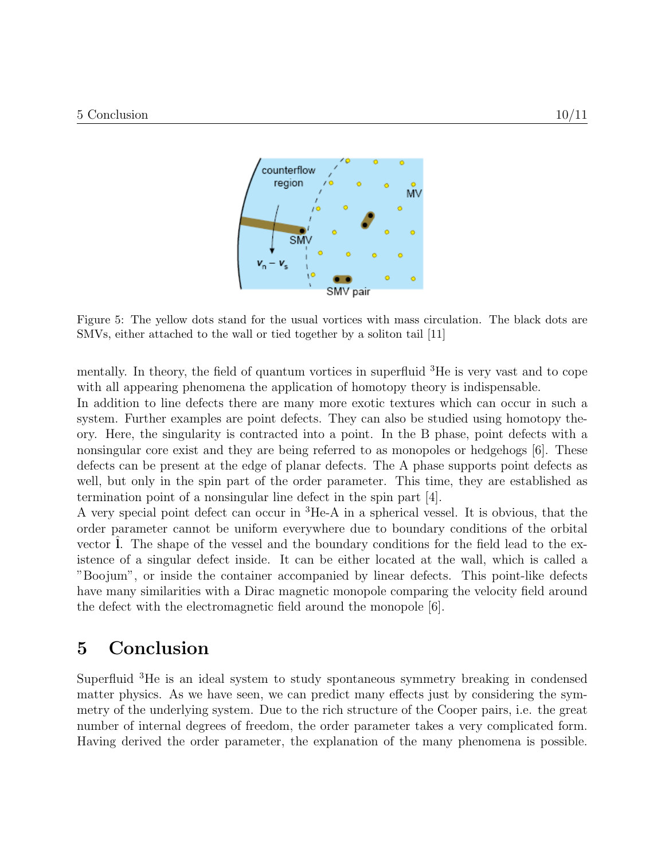

Figure 5: The yellow dots stand for the usual vortices with mass circulation. The black dots are SMVs, either attached to the wall or tied together by a soliton tail [11]

mentally. In theory, the field of quantum vortices in superfluid <sup>3</sup>He is very vast and to cope with all appearing phenomena the application of homotopy theory is indispensable.

In addition to line defects there are many more exotic textures which can occur in such a system. Further examples are point defects. They can also be studied using homotopy theory. Here, the singularity is contracted into a point. In the B phase, point defects with a nonsingular core exist and they are being referred to as monopoles or hedgehogs [6]. These defects can be present at the edge of planar defects. The A phase supports point defects as well, but only in the spin part of the order parameter. This time, they are established as termination point of a nonsingular line defect in the spin part [4].

A very special point defect can occur in <sup>3</sup>He-A in a spherical vessel. It is obvious, that the order parameter cannot be uniform everywhere due to boundary conditions of the orbital vector 1. The shape of the vessel and the boundary conditions for the field lead to the existence of a singular defect inside. It can be either located at the wall, which is called a "Boojum", or inside the container accompanied by linear defects. This point-like defects have many similarities with a Dirac magnetic monopole comparing the velocity field around the defect with the electromagnetic field around the monopole [6].

### 5 Conclusion

Superfluid <sup>3</sup>He is an ideal system to study spontaneous symmetry breaking in condensed matter physics. As we have seen, we can predict many effects just by considering the symmetry of the underlying system. Due to the rich structure of the Cooper pairs, i.e. the great number of internal degrees of freedom, the order parameter takes a very complicated form. Having derived the order parameter, the explanation of the many phenomena is possible.